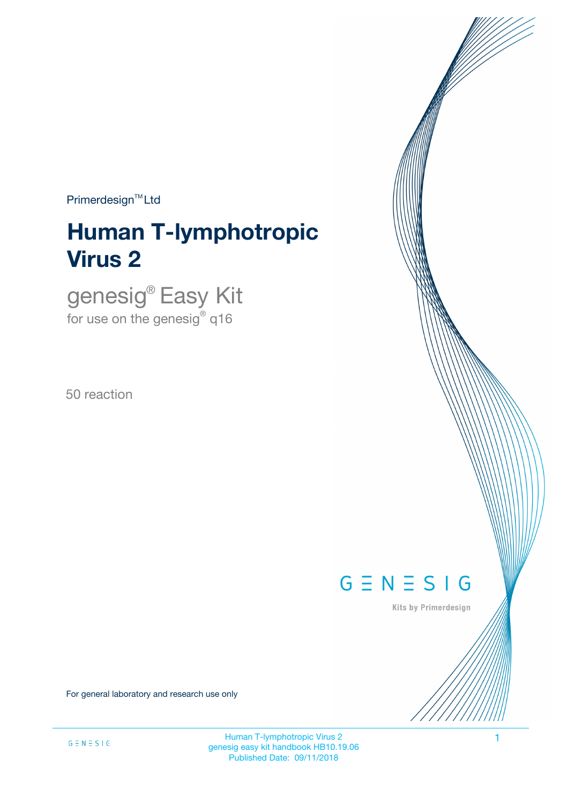$Primerdesign^{TM}$ Ltd

# **Human T-lymphotropic Virus 2**

genesig® Easy Kit for use on the genesig $^\circ$  q16

50 reaction



Kits by Primerdesign

For general laboratory and research use only

Human T-lymphotropic Virus 2 1 genesig easy kit handbook HB10.19.06 Published Date: 09/11/2018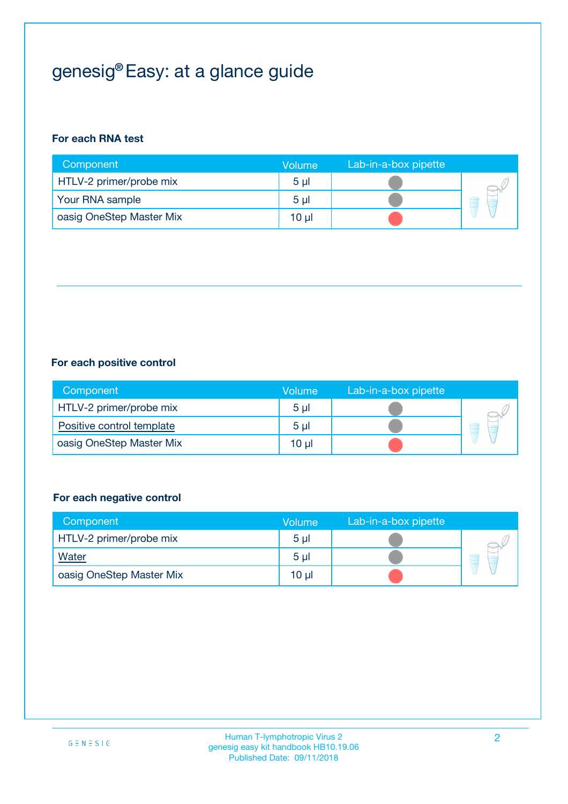## genesig® Easy: at a glance guide

#### **For each RNA test**

| Component                | <b>Volume</b>  | Lab-in-a-box pipette |  |
|--------------------------|----------------|----------------------|--|
| HTLV-2 primer/probe mix  | 5 <sub>µ</sub> |                      |  |
| Your RNA sample          | 5 <sub>µ</sub> |                      |  |
| oasig OneStep Master Mix | 10 µl          |                      |  |

#### **For each positive control**

| Component                 | Volume         | Lab-in-a-box pipette |  |
|---------------------------|----------------|----------------------|--|
| HTLV-2 primer/probe mix   | 5 <sub>µ</sub> |                      |  |
| Positive control template | 5 <sub>µ</sub> |                      |  |
| oasig OneStep Master Mix  | 10 µl          |                      |  |

#### **For each negative control**

| Component                | Volume         | Lab-in-a-box pipette |   |
|--------------------------|----------------|----------------------|---|
| HTLV-2 primer/probe mix  | 5 <sub>µ</sub> |                      |   |
| <b>Water</b>             | 5 <sub>µ</sub> |                      | - |
| oasig OneStep Master Mix | 10 µl          |                      |   |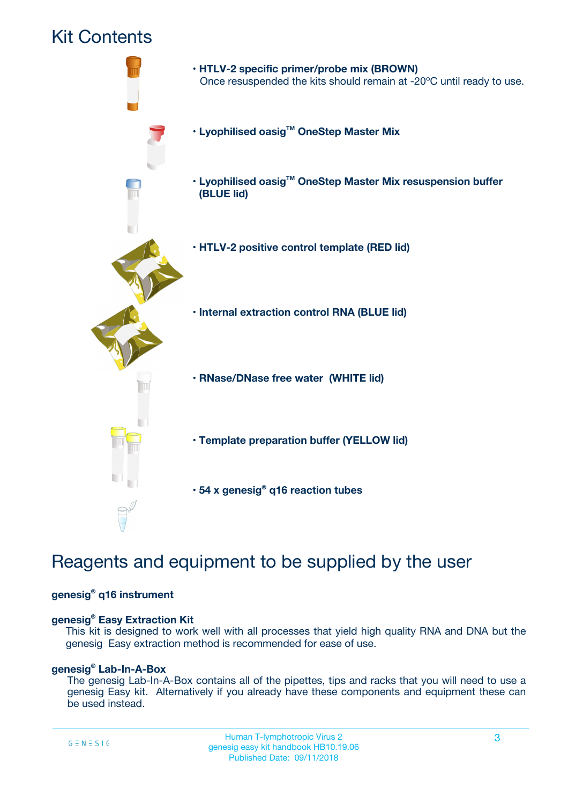## Kit Contents



## Reagents and equipment to be supplied by the user

#### **genesig® q16 instrument**

#### **genesig® Easy Extraction Kit**

This kit is designed to work well with all processes that yield high quality RNA and DNA but the genesig Easy extraction method is recommended for ease of use.

#### **genesig® Lab-In-A-Box**

The genesig Lab-In-A-Box contains all of the pipettes, tips and racks that you will need to use a genesig Easy kit. Alternatively if you already have these components and equipment these can be used instead.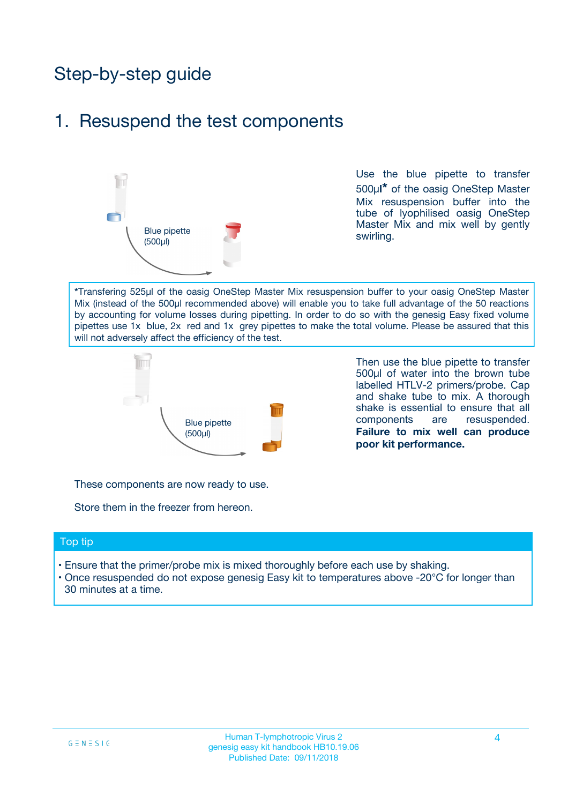## Step-by-step guide

## 1. Resuspend the test components



Use the blue pipette to transfer 500µ**l\*** of the oasig OneStep Master Mix resuspension buffer into the tube of lyophilised oasig OneStep Master Mix and mix well by gently swirling.

**\***Transfering 525µl of the oasig OneStep Master Mix resuspension buffer to your oasig OneStep Master Mix (instead of the 500µl recommended above) will enable you to take full advantage of the 50 reactions by accounting for volume losses during pipetting. In order to do so with the genesig Easy fixed volume pipettes use 1x blue, 2x red and 1x grey pipettes to make the total volume. Please be assured that this will not adversely affect the efficiency of the test.



Then use the blue pipette to transfer 500µl of water into the brown tube labelled HTLV-2 primers/probe. Cap and shake tube to mix. A thorough shake is essential to ensure that all components are resuspended. **Failure to mix well can produce poor kit performance.**

These components are now ready to use.

Store them in the freezer from hereon.

#### Top tip

- Ensure that the primer/probe mix is mixed thoroughly before each use by shaking.
- Once resuspended do not expose genesig Easy kit to temperatures above -20°C for longer than 30 minutes at a time.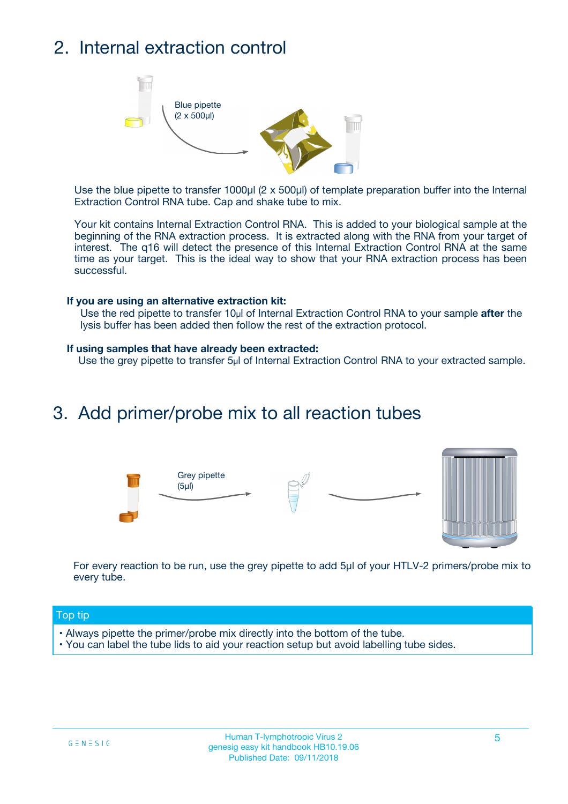## 2. Internal extraction control



Use the blue pipette to transfer 1000µl (2 x 500µl) of template preparation buffer into the Internal Extraction Control RNA tube. Cap and shake tube to mix.

Your kit contains Internal Extraction Control RNA. This is added to your biological sample at the beginning of the RNA extraction process. It is extracted along with the RNA from your target of interest. The q16 will detect the presence of this Internal Extraction Control RNA at the same time as your target. This is the ideal way to show that your RNA extraction process has been successful.

#### **If you are using an alternative extraction kit:**

Use the red pipette to transfer 10µl of Internal Extraction Control RNA to your sample **after** the lysis buffer has been added then follow the rest of the extraction protocol.

#### **If using samples that have already been extracted:**

Use the grey pipette to transfer 5µl of Internal Extraction Control RNA to your extracted sample.

### 3. Add primer/probe mix to all reaction tubes





For every reaction to be run, use the grey pipette to add 5µl of your HTLV-2 primers/probe mix to every tube.

#### Top tip

- Always pipette the primer/probe mix directly into the bottom of the tube.
- You can label the tube lids to aid your reaction setup but avoid labelling tube sides.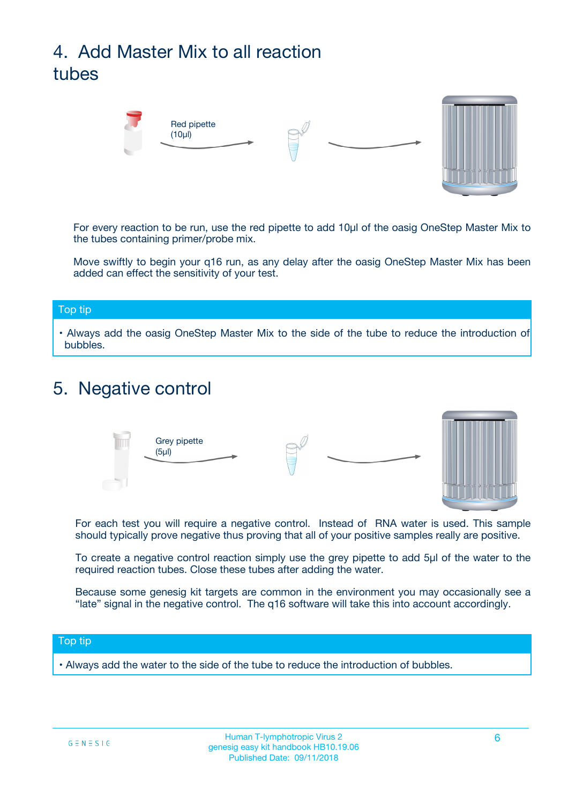## 4. Add Master Mix to all reaction tubes



For every reaction to be run, use the red pipette to add 10µl of the oasig OneStep Master Mix to the tubes containing primer/probe mix.

Move swiftly to begin your q16 run, as any delay after the oasig OneStep Master Mix has been added can effect the sensitivity of your test.

#### Top tip

**•** Always add the oasig OneStep Master Mix to the side of the tube to reduce the introduction of bubbles.

### 5. Negative control



For each test you will require a negative control. Instead of RNA water is used. This sample should typically prove negative thus proving that all of your positive samples really are positive.

To create a negative control reaction simply use the grey pipette to add 5µl of the water to the required reaction tubes. Close these tubes after adding the water.

Because some genesig kit targets are common in the environment you may occasionally see a "late" signal in the negative control. The q16 software will take this into account accordingly.

#### Top tip

**•** Always add the water to the side of the tube to reduce the introduction of bubbles.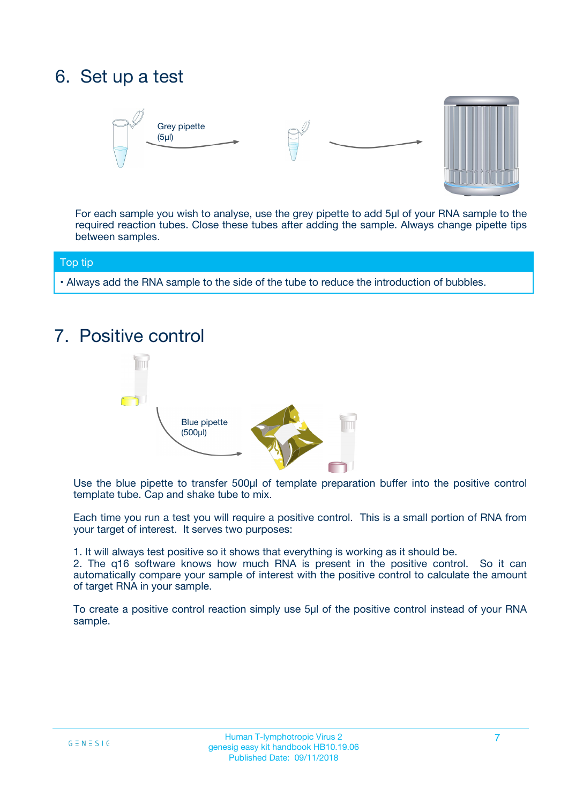## 6. Set up a test





For each sample you wish to analyse, use the grey pipette to add 5µl of your RNA sample to the required reaction tubes. Close these tubes after adding the sample. Always change pipette tips between samples.

#### Top tip

**•** Always add the RNA sample to the side of the tube to reduce the introduction of bubbles.

## 7. Positive control



Use the blue pipette to transfer 500µl of template preparation buffer into the positive control template tube. Cap and shake tube to mix.

Each time you run a test you will require a positive control. This is a small portion of RNA from your target of interest. It serves two purposes:

1. It will always test positive so it shows that everything is working as it should be.

2. The q16 software knows how much RNA is present in the positive control. So it can automatically compare your sample of interest with the positive control to calculate the amount of target RNA in your sample.

To create a positive control reaction simply use 5µl of the positive control instead of your RNA sample.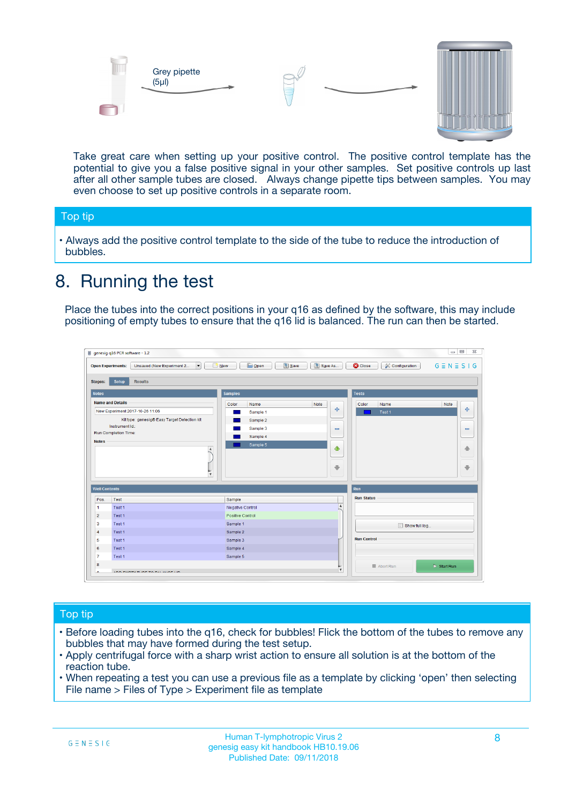



Take great care when setting up your positive control. The positive control template has the potential to give you a false positive signal in your other samples. Set positive controls up last after all other sample tubes are closed. Always change pipette tips between samples. You may even choose to set up positive controls in a separate room.

#### Top tip

**•** Always add the positive control template to the side of the tube to reduce the introduction of bubbles.

## 8. Running the test

Place the tubes into the correct positions in your q16 as defined by the software, this may include positioning of empty tubes to ensure that the q16 lid is balanced. The run can then be started.

|                                                | Unsaved (New Experiment 2<br><b>Open Experiments:</b><br>$\overline{\phantom{a}}$ | <b>E</b> Open<br>Save<br>$\Box$ New | Save As          | <b>C</b> Close<br>Configuration | $G \equiv N \equiv S \mid G$ |
|------------------------------------------------|-----------------------------------------------------------------------------------|-------------------------------------|------------------|---------------------------------|------------------------------|
| <b>Stages:</b>                                 | Setup<br><b>Results</b>                                                           |                                     |                  |                                 |                              |
| <b>Notes</b>                                   |                                                                                   | <b>Samples</b>                      |                  | <b>Tests</b>                    |                              |
|                                                | <b>Name and Details</b>                                                           | Color<br>Name                       | Note             | Color<br>Name                   | Note                         |
|                                                | New Experiment 2017-10-26 11:06                                                   | Sample 1                            | 4                | Test 1                          | 4                            |
|                                                | Kit type: genesig® Easy Target Detection kit                                      | Sample 2                            |                  |                                 |                              |
|                                                | Instrument Id.:                                                                   | Sample 3                            | $\equiv$         |                                 | $\equiv$                     |
|                                                | <b>Run Completion Time:</b>                                                       | Sample 4                            |                  |                                 |                              |
| <b>Notes</b>                                   | $\blacktriangle$                                                                  | Sample 5                            | ♦                |                                 | 傦                            |
|                                                |                                                                                   |                                     |                  |                                 |                              |
|                                                | $\overline{\mathbf{v}}$                                                           |                                     | ÷                |                                 |                              |
| <b>Well Contents</b>                           |                                                                                   |                                     |                  | Run                             | ⊕                            |
|                                                | Test                                                                              | Sample                              |                  | <b>Run Status</b>               |                              |
|                                                | Test 1                                                                            | Negative Control                    | $\blacktriangle$ |                                 |                              |
| Pos.<br>$\blacktriangleleft$<br>$\overline{2}$ | Test 1                                                                            | Positive Control                    |                  |                                 |                              |
| 3                                              | Test 1                                                                            | Sample 1                            |                  |                                 |                              |
|                                                | Test 1                                                                            | Sample 2                            |                  | Show full log                   |                              |
| $\overline{4}$<br>5                            | Test 1                                                                            | Sample 3                            |                  | <b>Run Control</b>              |                              |
|                                                | Test 1                                                                            | Sample 4                            |                  |                                 |                              |
| 6<br>$\overline{7}$                            | Test 1                                                                            | Sample 5                            |                  |                                 |                              |

#### Top tip

- Before loading tubes into the q16, check for bubbles! Flick the bottom of the tubes to remove any bubbles that may have formed during the test setup.
- Apply centrifugal force with a sharp wrist action to ensure all solution is at the bottom of the reaction tube.
- When repeating a test you can use a previous file as a template by clicking 'open' then selecting File name > Files of Type > Experiment file as template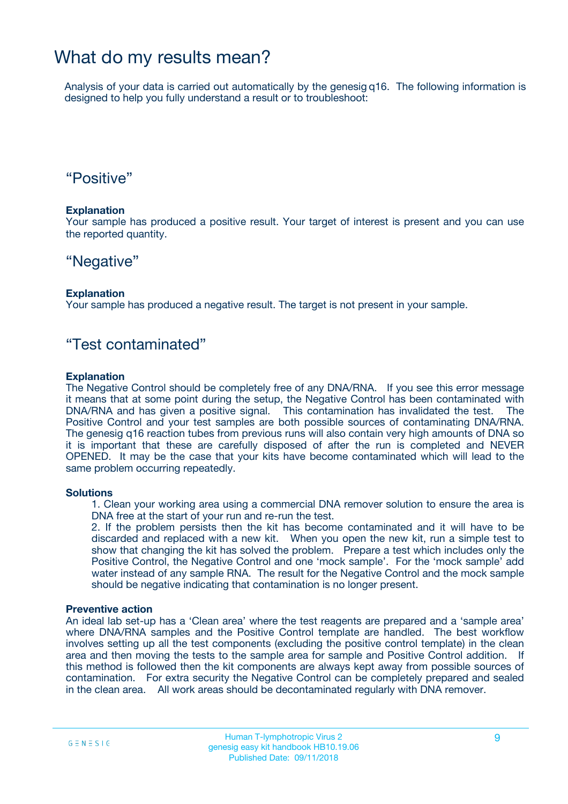### What do my results mean?

Analysis of your data is carried out automatically by the genesig q16. The following information is designed to help you fully understand a result or to troubleshoot:

### "Positive"

#### **Explanation**

Your sample has produced a positive result. Your target of interest is present and you can use the reported quantity.

### "Negative"

#### **Explanation**

Your sample has produced a negative result. The target is not present in your sample.

### "Test contaminated"

#### **Explanation**

The Negative Control should be completely free of any DNA/RNA. If you see this error message it means that at some point during the setup, the Negative Control has been contaminated with DNA/RNA and has given a positive signal. This contamination has invalidated the test. The Positive Control and your test samples are both possible sources of contaminating DNA/RNA. The genesig q16 reaction tubes from previous runs will also contain very high amounts of DNA so it is important that these are carefully disposed of after the run is completed and NEVER OPENED. It may be the case that your kits have become contaminated which will lead to the same problem occurring repeatedly.

#### **Solutions**

1. Clean your working area using a commercial DNA remover solution to ensure the area is DNA free at the start of your run and re-run the test.

2. If the problem persists then the kit has become contaminated and it will have to be discarded and replaced with a new kit. When you open the new kit, run a simple test to show that changing the kit has solved the problem. Prepare a test which includes only the Positive Control, the Negative Control and one 'mock sample'. For the 'mock sample' add water instead of any sample RNA. The result for the Negative Control and the mock sample should be negative indicating that contamination is no longer present.

#### **Preventive action**

An ideal lab set-up has a 'Clean area' where the test reagents are prepared and a 'sample area' where DNA/RNA samples and the Positive Control template are handled. The best workflow involves setting up all the test components (excluding the positive control template) in the clean area and then moving the tests to the sample area for sample and Positive Control addition. If this method is followed then the kit components are always kept away from possible sources of contamination. For extra security the Negative Control can be completely prepared and sealed in the clean area. All work areas should be decontaminated regularly with DNA remover.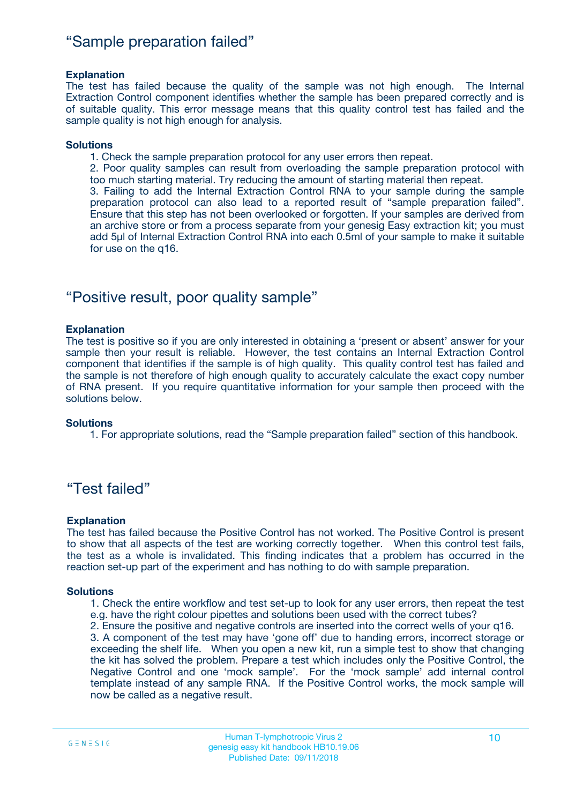### "Sample preparation failed"

#### **Explanation**

The test has failed because the quality of the sample was not high enough. The Internal Extraction Control component identifies whether the sample has been prepared correctly and is of suitable quality. This error message means that this quality control test has failed and the sample quality is not high enough for analysis.

#### **Solutions**

1. Check the sample preparation protocol for any user errors then repeat.

2. Poor quality samples can result from overloading the sample preparation protocol with too much starting material. Try reducing the amount of starting material then repeat.

3. Failing to add the Internal Extraction Control RNA to your sample during the sample preparation protocol can also lead to a reported result of "sample preparation failed". Ensure that this step has not been overlooked or forgotten. If your samples are derived from an archive store or from a process separate from your genesig Easy extraction kit; you must add 5µl of Internal Extraction Control RNA into each 0.5ml of your sample to make it suitable for use on the q16.

### "Positive result, poor quality sample"

#### **Explanation**

The test is positive so if you are only interested in obtaining a 'present or absent' answer for your sample then your result is reliable. However, the test contains an Internal Extraction Control component that identifies if the sample is of high quality. This quality control test has failed and the sample is not therefore of high enough quality to accurately calculate the exact copy number of RNA present. If you require quantitative information for your sample then proceed with the solutions below.

#### **Solutions**

1. For appropriate solutions, read the "Sample preparation failed" section of this handbook.

### "Test failed"

#### **Explanation**

The test has failed because the Positive Control has not worked. The Positive Control is present to show that all aspects of the test are working correctly together. When this control test fails, the test as a whole is invalidated. This finding indicates that a problem has occurred in the reaction set-up part of the experiment and has nothing to do with sample preparation.

#### **Solutions**

1. Check the entire workflow and test set-up to look for any user errors, then repeat the test e.g. have the right colour pipettes and solutions been used with the correct tubes?

2. Ensure the positive and negative controls are inserted into the correct wells of your q16.

3. A component of the test may have 'gone off' due to handing errors, incorrect storage or exceeding the shelf life. When you open a new kit, run a simple test to show that changing the kit has solved the problem. Prepare a test which includes only the Positive Control, the Negative Control and one 'mock sample'. For the 'mock sample' add internal control template instead of any sample RNA. If the Positive Control works, the mock sample will now be called as a negative result.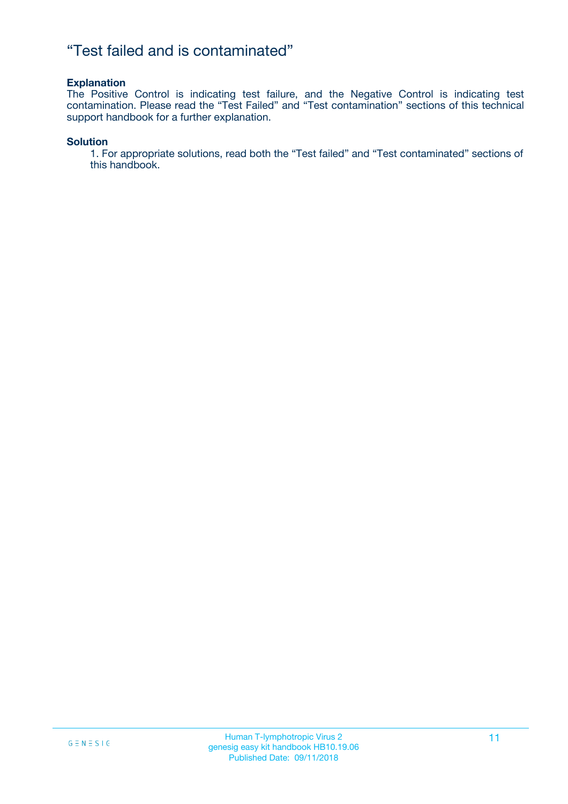### "Test failed and is contaminated"

#### **Explanation**

The Positive Control is indicating test failure, and the Negative Control is indicating test contamination. Please read the "Test Failed" and "Test contamination" sections of this technical support handbook for a further explanation.

#### **Solution**

1. For appropriate solutions, read both the "Test failed" and "Test contaminated" sections of this handbook.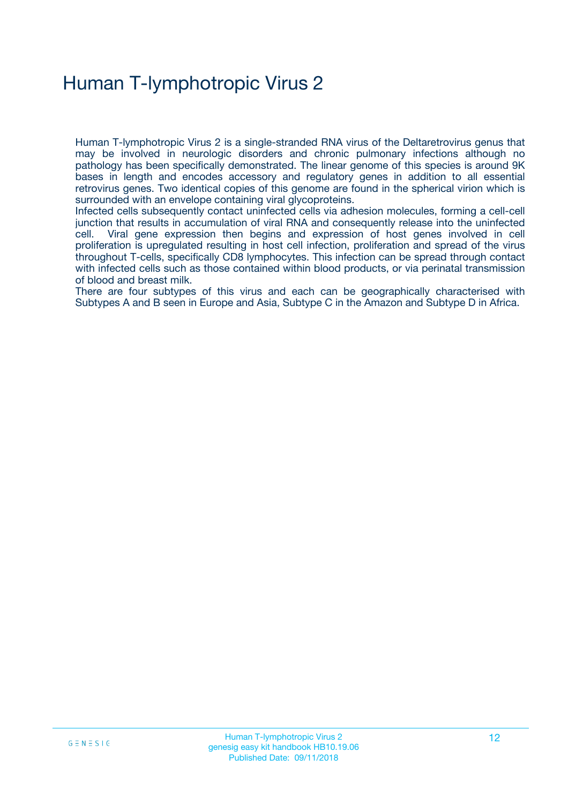## Human T-lymphotropic Virus 2

Human T-lymphotropic Virus 2 is a single-stranded RNA virus of the Deltaretrovirus genus that may be involved in neurologic disorders and chronic pulmonary infections although no pathology has been specifically demonstrated. The linear genome of this species is around 9K bases in length and encodes accessory and regulatory genes in addition to all essential retrovirus genes. Two identical copies of this genome are found in the spherical virion which is surrounded with an envelope containing viral glycoproteins.

Infected cells subsequently contact uninfected cells via adhesion molecules, forming a cell-cell junction that results in accumulation of viral RNA and consequently release into the uninfected cell. Viral gene expression then begins and expression of host genes involved in cell proliferation is upregulated resulting in host cell infection, proliferation and spread of the virus throughout T-cells, specifically CD8 lymphocytes. This infection can be spread through contact with infected cells such as those contained within blood products, or via perinatal transmission of blood and breast milk.

There are four subtypes of this virus and each can be geographically characterised with Subtypes A and B seen in Europe and Asia, Subtype C in the Amazon and Subtype D in Africa.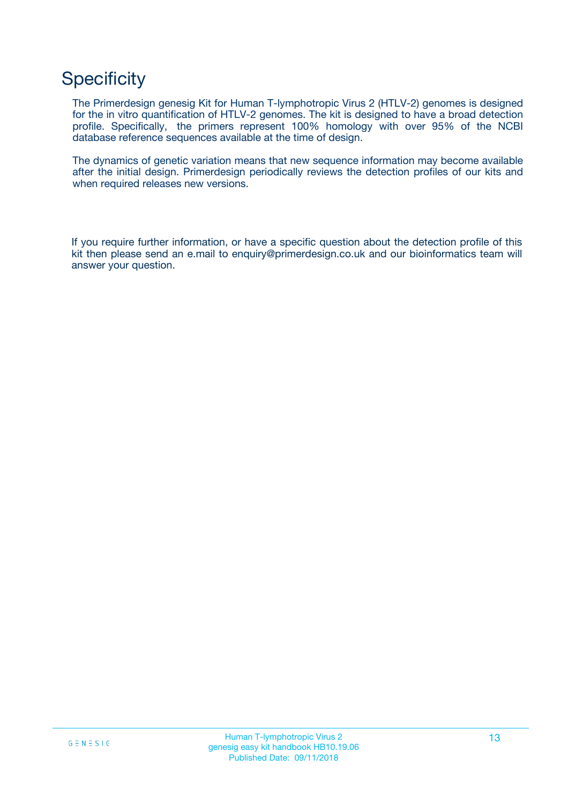## **Specificity**

The Primerdesign genesig Kit for Human T-lymphotropic Virus 2 (HTLV-2) genomes is designed for the in vitro quantification of HTLV-2 genomes. The kit is designed to have a broad detection profile. Specifically, the primers represent 100% homology with over 95% of the NCBI database reference sequences available at the time of design.

The dynamics of genetic variation means that new sequence information may become available after the initial design. Primerdesign periodically reviews the detection profiles of our kits and when required releases new versions.

If you require further information, or have a specific question about the detection profile of this kit then please send an e.mail to enquiry@primerdesign.co.uk and our bioinformatics team will answer your question.